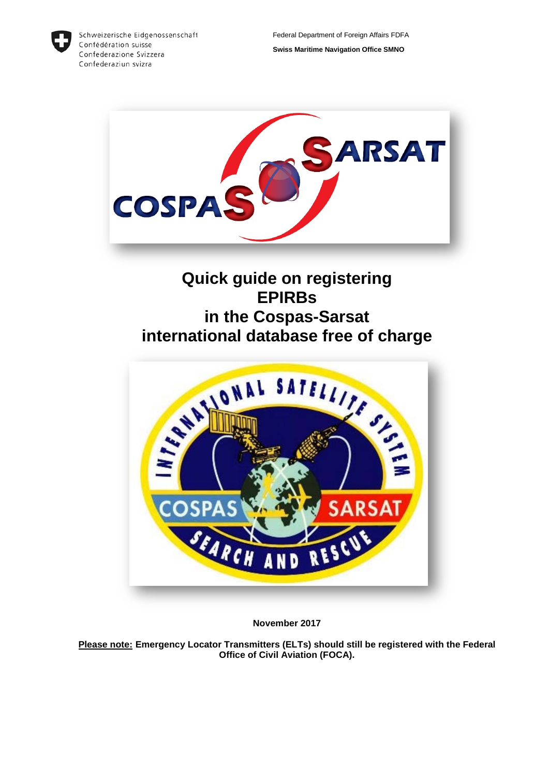

Schweizerische Eidgenossenschaft Confédération suisse Confederazione Svizzera Confederaziun svizra



# **Quick guide on registering EPIRBs in the Cospas-Sarsat international database free of charge**



**November 2017**

**Please note: Emergency Locator Transmitters (ELTs) should still be registered with the Federal Office of Civil Aviation (FOCA).**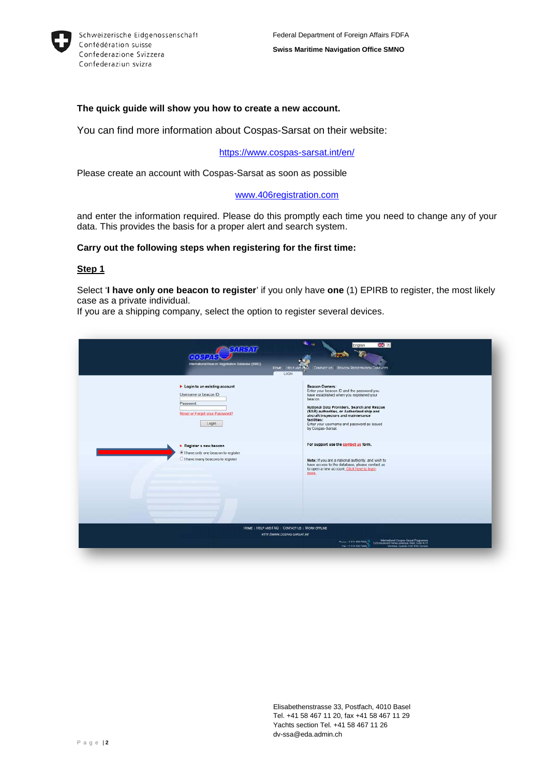

## **The quick guide will show you how to create a new account.**

You can find more information about Cospas-Sarsat on their website:

#### <https://www.cospas-sarsat.int/en/>

Please create an account with Cospas-Sarsat as soon as possible

#### [www.406registration.com](http://www.406registration.com/)

and enter the information required. Please do this promptly each time you need to change any of your data. This provides the basis for a proper alert and search system.

#### **Carry out the following steps when registering for the first time:**

#### **Step 1**

Select '**I have only one beacon to register**' if you only have **one** (1) EPIRB to register, the most likely case as a private individual.

If you are a shipping company, select the option to register several devices.

| Login to an existing account<br>Username or beacon ID:<br>Password<br>Reset or Forgot your Password?<br>Login | <b>Beacon Owners:</b><br>Enter your beacon ID and the password you<br>have established when you registered your<br>beacon.<br>National Data Providers, Search and Rescue<br>(SAR) authorities, or Authorized ship and<br>aircraft inspectors and maintenance<br>facilities:<br>Enter your username and password as issued<br>by Cospas-Sarsat. |
|---------------------------------------------------------------------------------------------------------------|------------------------------------------------------------------------------------------------------------------------------------------------------------------------------------------------------------------------------------------------------------------------------------------------------------------------------------------------|
| Register a new beacon<br>I have only one beacon to register<br>O I have many beacons to register              | For support use the contact us form.<br>Note: If you are a national authority, and wish to<br>have access to the database, please contact us<br>to open a new account. Click here to learn<br>more.                                                                                                                                            |
|                                                                                                               |                                                                                                                                                                                                                                                                                                                                                |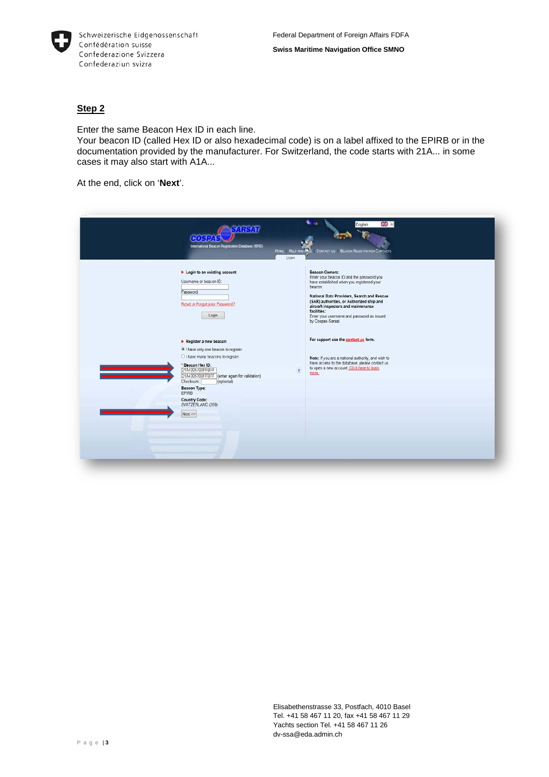

Enter the same Beacon Hex ID in each line.

Your beacon ID (called Hex ID or also hexadecimal code) is on a label affixed to the EPIRB or in the documentation provided by the manufacturer. For Switzerland, the code starts with 21A... in some cases it may also start with A1A...

At the end, click on '**Next**'.

| Login to an existing account<br>Usemame or beacon ID:<br>Password:<br>Reset or Forgot your Password?<br>Login                                                                                                                                                                                    |                          | <b>Beacon Owners:</b><br>Enter your beacon ID and the password you<br>have established when you registered your<br>beacon.<br>National Data Providers, Search and Rescue<br>(SAR) authorities, or Authorized ship and<br>aircraft inspectors and maintenance<br>facilities:<br>Enter your username and password as issued<br>by Cospas-Sarsat. |  |
|--------------------------------------------------------------------------------------------------------------------------------------------------------------------------------------------------------------------------------------------------------------------------------------------------|--------------------------|------------------------------------------------------------------------------------------------------------------------------------------------------------------------------------------------------------------------------------------------------------------------------------------------------------------------------------------------|--|
| Register a new beacon<br>I have only one beacon to register<br>O I have many beacons to register<br>* Beacon Hex ID:<br>21A4305700FFBFF<br>21A4305700FFBFF (enter again for validation)<br>Checksum.<br>(optional)<br>Beacon Type:<br>EPIRB<br><b>Country Code:</b><br>SWITZERLAND (269)<br>Next | $\overline{\phantom{a}}$ | For support use the contact us form.<br>Note: If you are a national authority, and wish to<br>have access to the database, please contact us<br>to open a new account. Click here to learn<br>more.                                                                                                                                            |  |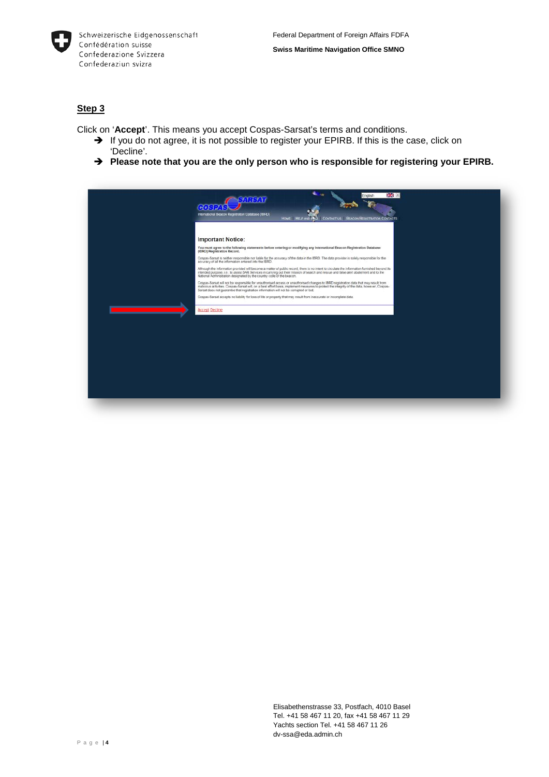

Click on '**Accept**'. This means you accept Cospas-Sarsat's terms and conditions.

- $\rightarrow$  If you do not agree, it is not possible to register your EPIRB. If this is the case, click on 'Decline'.
- → Please note that you are the only person who is responsible for registering your EPIRB.

| 34.64T<br>International Beacon Registration Database (IBRD)<br>CONTACT US BEACON REGISTRATION CONTACTS<br>HOME HELP AND PAG                                                                                                                                                                                                                                                  |  |
|------------------------------------------------------------------------------------------------------------------------------------------------------------------------------------------------------------------------------------------------------------------------------------------------------------------------------------------------------------------------------|--|
| <b>Important Notice:</b>                                                                                                                                                                                                                                                                                                                                                     |  |
| You must agree to the following statements before entering or modifying any International Beacon Registration Database<br>(IBRD) Registration Record.                                                                                                                                                                                                                        |  |
| Cospas-Sarsat is neither responsible nor liable for the accuracy of the data in the IBRD. The data provider is solely responsible for the<br>accuracy of all the information entered into the IBRD.                                                                                                                                                                          |  |
| Although the information provided will become a matter of public record, there is no intent to circulate the information furnished beyond its<br>intended purpose, i.e., to assist SAR Services in carrying out their mission of search and rescue and false alert abatement and to the<br>National Administration designated by the country code of the beacon.             |  |
| Cospas-Sarsat will not be responsible for unauthorised access or unauthorised changes to IBRD registration data that may result from<br>malicious activities. Cospas-Sarsat will, on a best effort basis, implement measures to protect the integrity of the data, however, Cospas-<br>Sarsat does not guarantee that registration information will not be comupted or lost. |  |
| Cospas-Sarsat accepts no liability for loss of life or property that may result from inaccurate or incomplete data.                                                                                                                                                                                                                                                          |  |
| <b>Accept Decline</b>                                                                                                                                                                                                                                                                                                                                                        |  |
|                                                                                                                                                                                                                                                                                                                                                                              |  |
|                                                                                                                                                                                                                                                                                                                                                                              |  |
|                                                                                                                                                                                                                                                                                                                                                                              |  |
|                                                                                                                                                                                                                                                                                                                                                                              |  |
|                                                                                                                                                                                                                                                                                                                                                                              |  |
|                                                                                                                                                                                                                                                                                                                                                                              |  |
|                                                                                                                                                                                                                                                                                                                                                                              |  |
|                                                                                                                                                                                                                                                                                                                                                                              |  |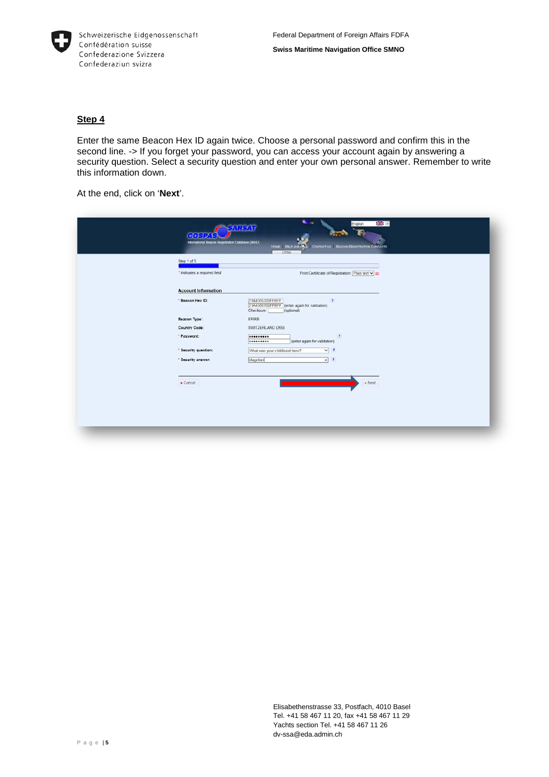

Enter the same Beacon Hex ID again twice. Choose a personal password and confirm this in the second line. -> If you forget your password, you can access your account again by answering a security question. Select a security question and enter your own personal answer. Remember to write this information down.

At the end, click on '**Next**'.

| Step 1 of 5<br>* Indicates a required field | LOGIN<br>Print Certificate of Registration: Plain text v go                                                |
|---------------------------------------------|------------------------------------------------------------------------------------------------------------|
| <b>Account Information</b>                  |                                                                                                            |
| * Beacon Hex ID:                            | 21A4305700FFBFF<br>$\mathbf{r}$<br>21A4305700FFBFF (enter again for validation)<br>Checksum:<br>(optional) |
| <b>Beacon Type:</b>                         | EPIRB                                                                                                      |
| <b>Country Code:</b>                        | SWITZERLAND (269)                                                                                          |
| * Password:                                 | ÷<br><br>(enter again for validation)<br>                                                                  |
| * Security question:                        | What was your childhood hero?<br>V <sup>2</sup>                                                            |
| * Security answer:                          | Magellan<br>$x$ ?                                                                                          |
| <b>x</b> Cancel                             | > Next                                                                                                     |
|                                             |                                                                                                            |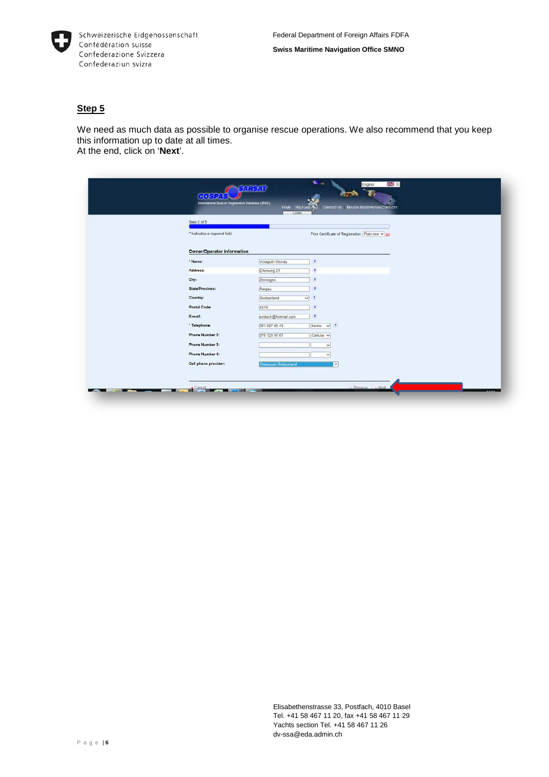

We need as much data as possible to organise rescue operations. We also recommend that you keep this information up to date at all times. At the end, click on '**Next**'.

| Step 2 of 5                       |                             |                                                    |  |
|-----------------------------------|-----------------------------|----------------------------------------------------|--|
| * Indicates a required field      |                             | Print Certificate of Registration: Plain text v go |  |
| <b>Owner/Operator information</b> |                             |                                                    |  |
| * Name:                           | Veraguth Wendy              | $\mathbf{r}$                                       |  |
| Address:                          | Erlenweg 21                 | $\overline{\mathbf{r}}$                            |  |
| City:                             | Zeiningen                   | ×                                                  |  |
| State/Province:                   | Aargau                      |                                                    |  |
| Country:                          | Switzerland                 | V <sup>2</sup>                                     |  |
| Postal Code:                      | 4314                        | z                                                  |  |
| E-mail:                           | smitsch@hotmail.com         | ×                                                  |  |
| * Telephone:                      | 061 987 65 43               | $V$ ?<br>Home                                      |  |
| Phone Number 2:                   | 079 123 45 67               | Cellular v                                         |  |
| Phone Number 3:                   |                             | $\checkmark$                                       |  |
| Phone Number 4:                   |                             | $\checkmark$                                       |  |
| Cell phone provider:              | <b>Swisscom Switzerland</b> | ▽                                                  |  |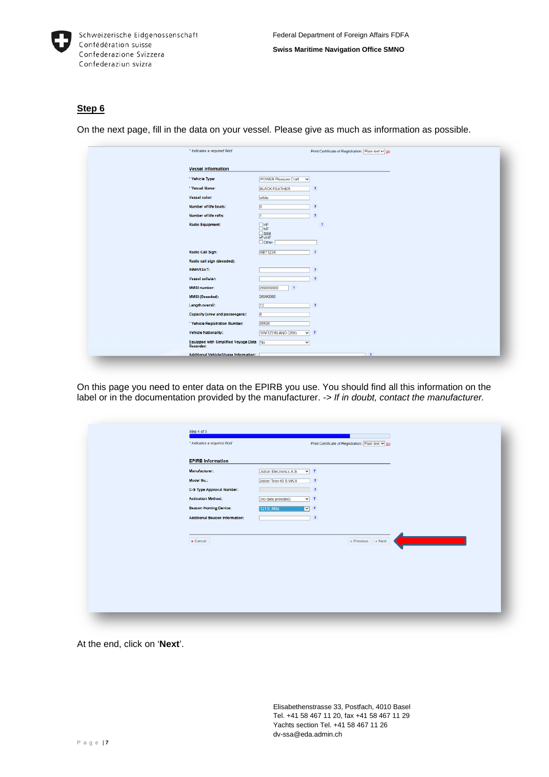

On the next page, fill in the data on your vessel. Please give as much as information as possible.

| * Indicates a required field            | Print Certificate of Registration: Plain text v go |
|-----------------------------------------|----------------------------------------------------|
|                                         |                                                    |
| <b>Vessel information</b>               |                                                    |
| * Vehicle Type:                         | <b>POWER Pleasure Craft</b><br>$\checkmark$        |
| * Vessel Name:                          | ×<br><b>BLACK FEATHER</b>                          |
| Vessel color:                           | white                                              |
| Number of life boats:                   | $\boxed{0}$<br>×                                   |
| Number of life rafts:                   |                                                    |
| <b>Radio Equipment:</b>                 | $\square$ HF<br>$\bullet$<br>$\overline{\Box}$ MF  |
|                                         | $\sqrt{\frac{SSB}{VHF}}$                           |
|                                         | $\Box$ Other                                       |
| Radio Call Sign:                        | <b>HBY1234</b><br>×                                |
| Radio call sign (decoded):              |                                                    |
| <b>INMARSAT:</b>                        | P.                                                 |
| Vessel cellular:                        | ×                                                  |
| <b>MMSI number:</b>                     | 269099000<br>$\mathbf{r}$                          |
| <b>MMSI (Decoded):</b>                  | 26999000                                           |
| Length overall:                         | 12 <br>×                                           |
| Capacity (crew and passengers):         | $\sqrt{6}$                                         |
| * Vehicle Registration Number:          | 05595                                              |
| <b>Vehicle Nationality:</b>             | $\sqrt{2}$<br>SWITZERLAND (269)                    |
| Equipped with Simplified Voyage Data No | v                                                  |
| Additional Vehicle/Usage Information:   | $\rightarrow$                                      |

On this page you need to enter data on the EPIRB you use. You should find all this information on the label or in the documentation provided by the manufacturer. *-> If in doubt, contact the manufacturer.*

| Step 4 of 5<br>* Indicates a required field | Print Certificate of Registration: Plain text v go   |  |
|---------------------------------------------|------------------------------------------------------|--|
| <b>EPIRB Information</b>                    |                                                      |  |
| Manufacturer:                               | $\overline{\mathbf{v}}$ ?<br>Jotron Electronics A.S. |  |
| Model No.:                                  | $\bullet$<br>Jotron Tron 40 S MK II                  |  |
| C-S Type Approval Number:                   | $\mathbf{r}$                                         |  |
| <b>Activation Method:</b>                   | $\sqrt{2}$<br>(no data provided)                     |  |
| <b>Beacon Homing Device:</b>                | $\triangledown$ $\cdot$<br>121.5 MHz                 |  |
| <b>Additional Beacon Information:</b>       | $\langle \pmb{r} \rangle$                            |  |
| $\boldsymbol{\ast}$ Cancel                  | Revious > Next                                       |  |
|                                             |                                                      |  |
|                                             |                                                      |  |
|                                             |                                                      |  |
|                                             |                                                      |  |
|                                             |                                                      |  |
|                                             |                                                      |  |
|                                             |                                                      |  |

At the end, click on '**Next**'.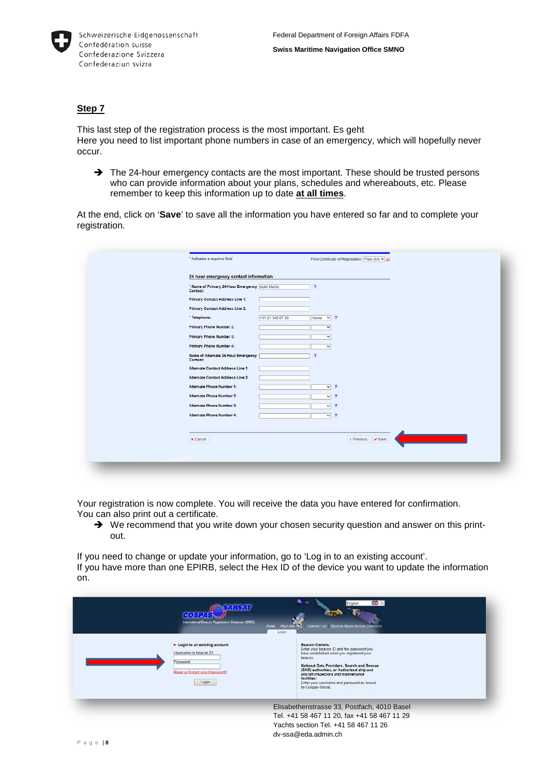

This last step of the registration process is the most important. Es geht Here you need to list important phone numbers in case of an emergency, which will hopefully never occur.

 $\rightarrow$  The 24-hour emergency contacts are the most important. These should be trusted persons who can provide information about your plans, schedules and whereabouts, etc. Please remember to keep this information up to date **at all times**.

At the end, click on '**Save**' to save all the information you have entered so far and to complete your registration.

| * Indicates a required field                                 |                  |                           | Print Certificate of Registration: Plain text v go |  |
|--------------------------------------------------------------|------------------|---------------------------|----------------------------------------------------|--|
| 24 hour emergency contact information                        |                  |                           |                                                    |  |
| * Name of Primary 24-Hour Emergency Aukli Martin<br>Contact: |                  | Ŧ                         |                                                    |  |
| Primary Contact Address Line 1:                              |                  |                           |                                                    |  |
| <b>Primary Contact Address Line 2:</b>                       |                  |                           |                                                    |  |
| * Telephone:                                                 | +41 21 345 67 89 | $\vee$ $\cdot$<br>Home    |                                                    |  |
| <b>Primary Phone Number 2:</b>                               |                  | $\checkmark$              |                                                    |  |
| Primary Phone Number 3:                                      |                  | $\checkmark$              |                                                    |  |
| Primary Phone Number 4:                                      |                  | M                         |                                                    |  |
| Name of Alternate 24-Hour Emergency<br>Contact:              |                  | Ŧ                         |                                                    |  |
| Alternate Contact Address Line 1:                            |                  |                           |                                                    |  |
| <b>Alternate Contact Address Line 2:</b>                     |                  |                           |                                                    |  |
| Alternate Phone Number 1:                                    |                  | $\vee$ $\overline{?}$     |                                                    |  |
| Alternate Phone Number 2:                                    |                  | $\vee$ $\rightarrow$      |                                                    |  |
| <b>Alternate Phone Number 3:</b>                             |                  | $\vee$ $\rightarrow$      |                                                    |  |
| Alternate Phone Number 4:                                    |                  | $\overline{\mathbf{v}}$ ? |                                                    |  |

Your registration is now complete. You will receive the data you have entered for confirmation. You can also print out a certificate.

→ We recommend that you write down your chosen security question and answer on this printout.

If you need to change or update your information, go to 'Log in to an existing account'. If you have more than one EPIRB, select the Hex ID of the device you want to update the information on.

| <b>54RSAT</b><br>International Beacon Registration Database (IBRD)<br>Hose HELP AND PAQ<br>Loon<br>> Login to an existing account<br>Usemame or beacon ID:<br>Password<br>Reset or Forgot your Password?<br>Login | <b>BB FI</b><br>English<br>CONTACT US BEACON REGISTRATION CONTACTS<br><b>Beacon Owners:</b><br>Enter your beacon ID and the password you<br>have established when you registered your<br>beacon<br>National Data Providers, Search and Rescue<br>(SAR) authorities, or Authorized ship and<br>aircraft inspectors and maintenance<br>facilities:<br>Enter your usemame and password as issued<br>by Cospas-Sarsat. |
|-------------------------------------------------------------------------------------------------------------------------------------------------------------------------------------------------------------------|--------------------------------------------------------------------------------------------------------------------------------------------------------------------------------------------------------------------------------------------------------------------------------------------------------------------------------------------------------------------------------------------------------------------|
|                                                                                                                                                                                                                   | Elisabethenstrasse 33, Postfach, 4010 Basel<br>Tel. +41 58 467 11 20, fax +41 58 467 11 29<br>Yachts section Tel. +41 58 467 11 26<br>dy-ssa@eda.admin.ch                                                                                                                                                                                                                                                          |